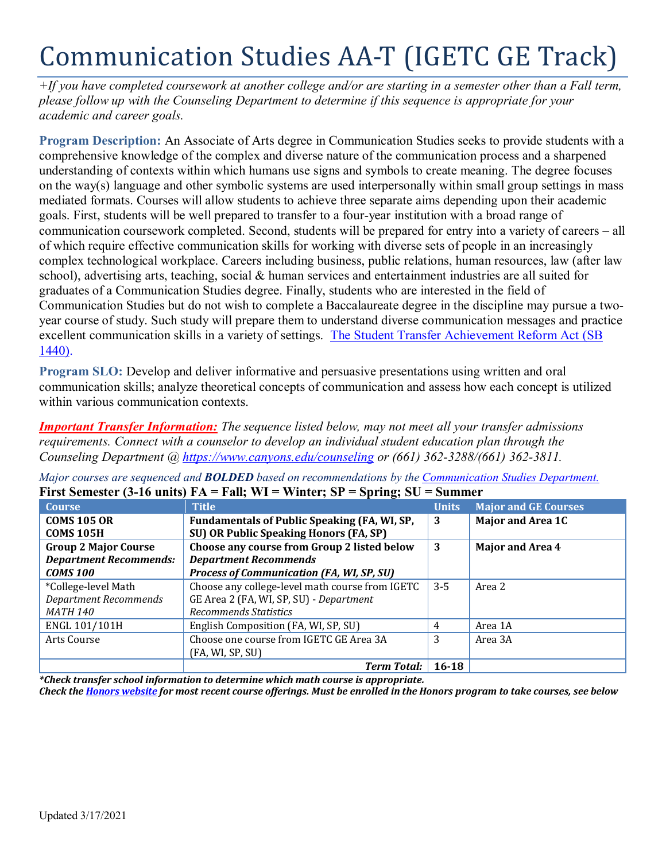# Communication Studies AA-T (IGETC GE Track)

*+If you have completed coursework at another college and/or are starting in a semester other than a Fall term, please follow up with the Counseling Department to determine if this sequence is appropriate for your academic and career goals.* 

**Program Description:** An Associate of Arts degree in Communication Studies seeks to provide students with a comprehensive knowledge of the complex and diverse nature of the communication process and a sharpened understanding of contexts within which humans use signs and symbols to create meaning. The degree focuses on the way(s) language and other symbolic systems are used interpersonally within small group settings in mass mediated formats. Courses will allow students to achieve three separate aims depending upon their academic goals. First, students will be well prepared to transfer to a four-year institution with a broad range of communication coursework completed. Second, students will be prepared for entry into a variety of careers – all of which require effective communication skills for working with diverse sets of people in an increasingly complex technological workplace. Careers including business, public relations, human resources, law (after law school), advertising arts, teaching, social & human services and entertainment industries are all suited for graduates of a Communication Studies degree. Finally, students who are interested in the field of Communication Studies but do not wish to complete a Baccalaureate degree in the discipline may pursue a twoyear course of study. Such study will prepare them to understand diverse communication messages and practice excellent communication skills in a variety of settings. [The Student Transfer Achievement Reform Act \(SB](https://www2.calstate.edu/apply/transfer/Pages/ccc-associate-degree-for-transfer.aspx)  [1440\).](https://www2.calstate.edu/apply/transfer/Pages/ccc-associate-degree-for-transfer.aspx)

**Program SLO:** Develop and deliver informative and persuasive presentations using written and oral communication skills; analyze theoretical concepts of communication and assess how each concept is utilized within various communication contexts.

*Important Transfer Information: The sequence listed below, may not meet all your transfer admissions requirements. Connect with a counselor to develop an individual student education plan through the Counseling Department @<https://www.canyons.edu/counseling> or (661) 362-3288/(661) 362-3811.*

| THE DUMEST $\mathcal{P}$ of the state $\mathcal{P}$ and $\mathcal{P}$<br>$v$ pring, $v$<br>миники |                                                     |              |                             |
|---------------------------------------------------------------------------------------------------|-----------------------------------------------------|--------------|-----------------------------|
| <b>Course</b>                                                                                     | <b>Title</b>                                        | <b>Units</b> | <b>Major and GE Courses</b> |
| <b>COMS 105 OR</b>                                                                                | <b>Fundamentals of Public Speaking (FA, WI, SP,</b> | 3            | <b>Major and Area 1C</b>    |
| <b>COMS 105H</b>                                                                                  | <b>SU) OR Public Speaking Honors (FA, SP)</b>       |              |                             |
| <b>Group 2 Major Course</b>                                                                       | Choose any course from Group 2 listed below         | 3            | <b>Major and Area 4</b>     |
| <b>Department Recommends:</b>                                                                     | <b>Department Recommends</b>                        |              |                             |
| <b>COMS 100</b>                                                                                   | <b>Process of Communication (FA, WI, SP, SU)</b>    |              |                             |
| *College-level Math                                                                               | Choose any college-level math course from IGETC     | $3 - 5$      | Area 2                      |
| <b>Department Recommends</b>                                                                      | GE Area 2 (FA, WI, SP, SU) - Department             |              |                             |
| <i>MATH 140</i>                                                                                   | <b>Recommends Statistics</b>                        |              |                             |
| ENGL 101/101H                                                                                     | English Composition (FA, WI, SP, SU)                | 4            | Area 1A                     |
| Arts Course                                                                                       | Choose one course from IGETC GE Area 3A             | 3            | Area 3A                     |
|                                                                                                   | (FA, WI, SP, SU)                                    |              |                             |
|                                                                                                   | <b>Term Total:</b>                                  | $16 - 18$    |                             |

*Major courses are sequenced and BOLDED based on recommendations by the [Communication Studies Department.](https://www.canyons.edu/academics/communications/index.php)*  **First Semester (3-16 units) FA = Fall; WI = Winter; SP = Spring; SU = Summer** 

*\*Check transfer school information to determine which math course is appropriate.* 

*Check the [Honors website](https://www.canyons.edu/academics/honors/index.php) for most recent course offerings. Must be enrolled in the Honors program to take courses, see below*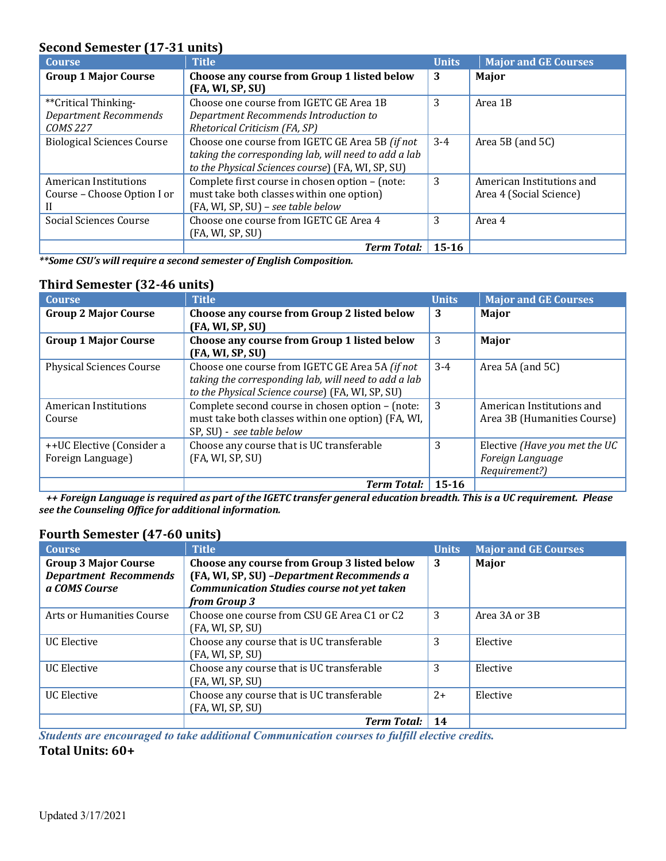# **Second Semester (17-31 units)**

| <b>Course</b>                     | <b>Title</b>                                         | <b>Units</b> | <b>Major and GE Courses</b> |
|-----------------------------------|------------------------------------------------------|--------------|-----------------------------|
| <b>Group 1 Major Course</b>       | Choose any course from Group 1 listed below          | 3            | Major                       |
|                                   | (FA, WI, SP, SU)                                     |              |                             |
| **Critical Thinking-              | Choose one course from IGETC GE Area 1B              | 3            | Area 1B                     |
| <b>Department Recommends</b>      | Department Recommends Introduction to                |              |                             |
| <b>COMS 227</b>                   | Rhetorical Criticism (FA, SP)                        |              |                             |
| <b>Biological Sciences Course</b> | Choose one course from IGETC GE Area 5B (if not      | $3 - 4$      | Area $5B$ (and $5C$ )       |
|                                   | taking the corresponding lab, will need to add a lab |              |                             |
|                                   | to the Physical Sciences course) (FA, WI, SP, SU)    |              |                             |
| American Institutions             | Complete first course in chosen option - (note:      | 3            | American Institutions and   |
| Course - Choose Option I or       | must take both classes within one option)            |              | Area 4 (Social Science)     |
|                                   | (FA, WI, SP, SU) - see table below                   |              |                             |
| Social Sciences Course            | Choose one course from IGETC GE Area 4               | 3            | Area 4                      |
|                                   | (FA, WI, SP, SU)                                     |              |                             |
|                                   | <b>Term Total:</b>                                   | $15 - 16$    |                             |

*\*\*Some CSU's will require a second semester of English Composition.* 

# **Third Semester (32-46 units)**

| <b>Course</b>                   | <b>Title</b>                                         | <b>Units</b> | <b>Major and GE Courses</b>   |
|---------------------------------|------------------------------------------------------|--------------|-------------------------------|
| <b>Group 2 Major Course</b>     | Choose any course from Group 2 listed below          | 3            | Major                         |
|                                 | (FA, WI, SP, SU)                                     |              |                               |
| <b>Group 1 Major Course</b>     | Choose any course from Group 1 listed below          | 3            | Major                         |
|                                 | (FA, WI, SP, SU)                                     |              |                               |
| <b>Physical Sciences Course</b> | Choose one course from IGETC GE Area 5A (if not      | $3 - 4$      | Area 5A (and 5C)              |
|                                 | taking the corresponding lab, will need to add a lab |              |                               |
|                                 | to the Physical Science course) (FA, WI, SP, SU)     |              |                               |
| American Institutions           | Complete second course in chosen option - (note:     | 3            | American Institutions and     |
| Course                          | must take both classes within one option) (FA, WI,   |              | Area 3B (Humanities Course)   |
|                                 | SP, SU) - see table below                            |              |                               |
| ++UC Elective (Consider a       | Choose any course that is UC transferable            | 3            | Elective (Have you met the UC |
| Foreign Language)               | (FA, WI, SP, SU)                                     |              | Foreign Language              |
|                                 |                                                      |              | Requirement?)                 |
|                                 | Term Total: $\vert$ 15-16                            |              |                               |

 *++ Foreign Language is required as part of the IGETC transfer general education breadth. This is a UC requirement. Please see the Counseling Office for additional information.* 

### **Fourth Semester (47-60 units)**

| <b>Course</b>                                                                | <b>Title</b>                                                                                                                                                   | <b>Units</b> | <b>Major and GE Courses</b> |
|------------------------------------------------------------------------------|----------------------------------------------------------------------------------------------------------------------------------------------------------------|--------------|-----------------------------|
| <b>Group 3 Major Course</b><br><b>Department Recommends</b><br>a COMS Course | Choose any course from Group 3 listed below<br>(FA, WI, SP, SU) - Department Recommends a<br><b>Communication Studies course not yet taken</b><br>from Group 3 | 3            | Major                       |
| Arts or Humanities Course                                                    | Choose one course from CSU GE Area C1 or C2<br>(FA, WI, SP, SU)                                                                                                | 3            | Area 3A or 3B               |
| UC Elective                                                                  | Choose any course that is UC transferable<br>(FA, WI, SP, SU)                                                                                                  | 3            | Elective                    |
| <b>UC</b> Elective                                                           | Choose any course that is UC transferable<br>(FA, WI, SP, SU)                                                                                                  | 3            | Elective                    |
| UC Elective                                                                  | Choose any course that is UC transferable<br>(FA, WI, SP, SU)                                                                                                  | $2+$         | Elective                    |
|                                                                              | <b>Term Total:</b>                                                                                                                                             | 14           |                             |

*Students are encouraged to take additional Communication courses to fulfill elective credits.* 

**Total Units: 60+**